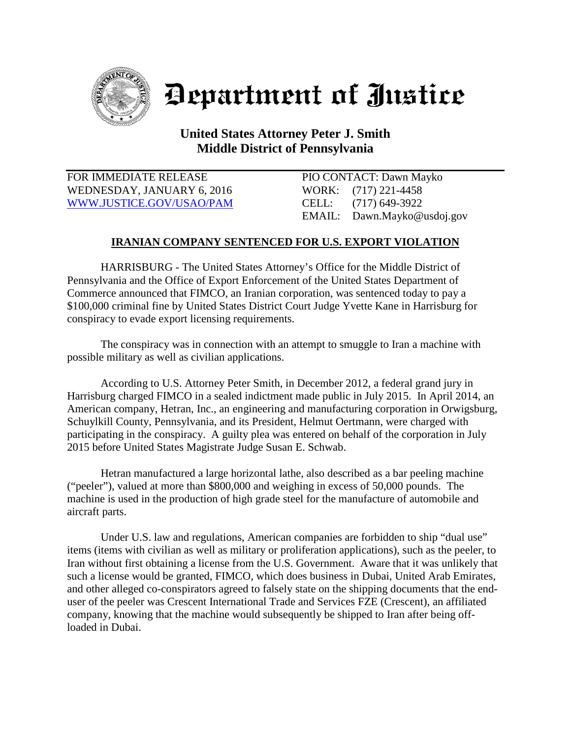

## Department of Justice

## **United States Attorney Peter J. Smith Middle District of Pennsylvania**

FOR IMMEDIATE RELEASE PIO CONTACT: Dawn Mayko WEDNESDAY, JANUARY 6, 2016 WORK: (717) 221-4458 [WWW.JUSTICE.GOV/USAO/P](http://www.justice.gov/USAO/)AM CELL: (717) 649-3922

EMAIL: Dawn.Mayko@usdoj.gov

## **IRANIAN COMPANY SENTENCED FOR U.S. EXPORT VIOLATION**

HARRISBURG - The United States Attorney's Office for the Middle District of Pennsylvania and the Office of Export Enforcement of the United States Department of Commerce announced that FIMCO, an Iranian corporation, was sentenced today to pay a \$100,000 criminal fine by United States District Court Judge Yvette Kane in Harrisburg for conspiracy to evade export licensing requirements.

The conspiracy was in connection with an attempt to smuggle to Iran a machine with possible military as well as civilian applications.

According to U.S. Attorney Peter Smith, in December 2012, a federal grand jury in Harrisburg charged FIMCO in a sealed indictment made public in July 2015. In April 2014, an American company, Hetran, Inc., an engineering and manufacturing corporation in Orwigsburg, Schuylkill County, Pennsylvania, and its President, Helmut Oertmann, were charged with participating in the conspiracy. A guilty plea was entered on behalf of the corporation in July 2015 before United States Magistrate Judge Susan E. Schwab.

Hetran manufactured a large horizontal lathe, also described as a bar peeling machine ("peeler"), valued at more than \$800,000 and weighing in excess of 50,000 pounds. The machine is used in the production of high grade steel for the manufacture of automobile and aircraft parts.

Under U.S. law and regulations, American companies are forbidden to ship "dual use" items (items with civilian as well as military or proliferation applications), such as the peeler, to Iran without first obtaining a license from the U.S. Government. Aware that it was unlikely that such a license would be granted, FIMCO, which does business in Dubai, United Arab Emirates, and other alleged co-conspirators agreed to falsely state on the shipping documents that the enduser of the peeler was Crescent International Trade and Services FZE (Crescent), an affiliated company, knowing that the machine would subsequently be shipped to Iran after being offloaded in Dubai.